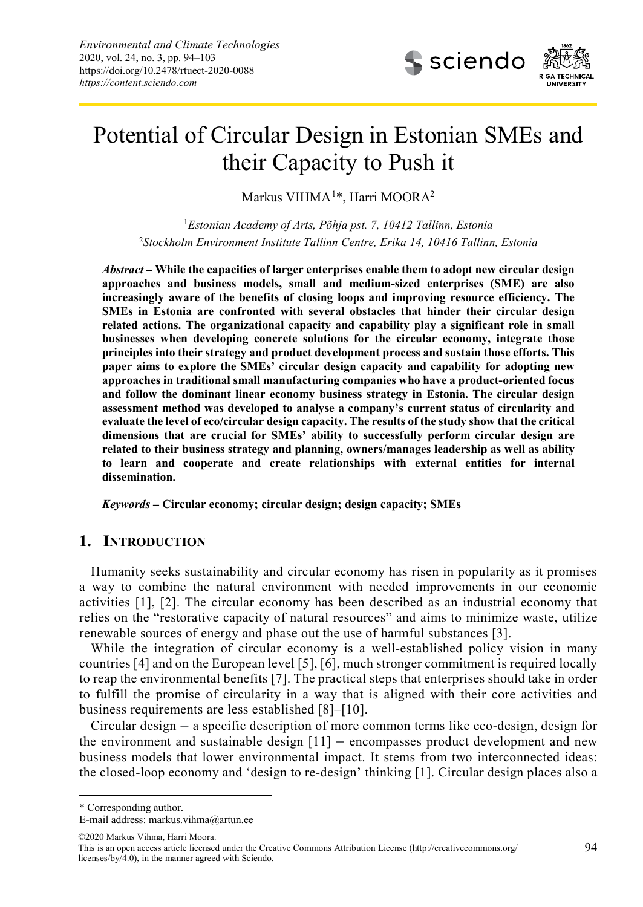

# Potential of Circular Design in Estonian SMEs and their Capacity to Push it

Markus VIHMA<sup>[1](#page-0-0)\*</sup>, Harri MOORA<sup>2</sup>

<sup>1</sup>*Estonian Academy of Arts, Põhja pst. 7, 10412 Tallinn, Estonia* <sup>2</sup>*Stockholm Environment Institute Tallinn Centre, Erika 14, 10416 Tallinn, Estonia*

*Abstract* **– While the capacities of larger enterprises enable them to adopt new circular design approaches and business models, small and medium-sized enterprises (SME) are also increasingly aware of the benefits of closing loops and improving resource efficiency. The SMEs in Estonia are confronted with several obstacles that hinder their circular design related actions. The organizational capacity and capability play a significant role in small businesses when developing concrete solutions for the circular economy, integrate those principles into their strategy and product development process and sustain those efforts. This paper aims to explore the SMEs' circular design capacity and capability for adopting new approaches in traditional small manufacturing companies who have a product-oriented focus and follow the dominant linear economy business strategy in Estonia. The circular design assessment method was developed to analyse a company's current status of circularity and evaluate the level of eco/circular design capacity. The results of the study show that the critical dimensions that are crucial for SMEs' ability to successfully perform circular design are related to their business strategy and planning, owners/manages leadership as well as ability to learn and cooperate and create relationships with external entities for internal dissemination.**

*Keywords* **– Circular economy; circular design; design capacity; SMEs**

## **1. INTRODUCTION**

Humanity seeks sustainability and circular economy has risen in popularity as it promises a way to combine the natural environment with needed improvements in our economic activities [1], [2]. The circular economy has been described as an industrial economy that relies on the "restorative capacity of natural resources" and aims to minimize waste, utilize renewable sources of energy and phase out the use of harmful substances [3].

While the integration of circular economy is a well-established policy vision in many countries [4] and on the European level [5], [6], much stronger commitment is required locally to reap the environmental benefits [7]. The practical steps that enterprises should take in order to fulfill the promise of circularity in a way that is aligned with their core activities and business requirements are less established [8]–[10].

Circular design – a specific description of more common terms like eco-design, design for the environment and sustainable design [11] – encompasses product development and new business models that lower environmental impact. It stems from two interconnected ideas: the closed-loop economy and 'design to re-design' thinking [1]. Circular design places also a

<span id="page-0-0"></span>\* Corresponding author.

1

©2020 Markus Vihma, Harri Moora.

E-mail address[: markus.vihma@artun.ee](mailto:markus.vihma@artun.ee)

This is an open access article licensed under the Creative Commons Attribution License (http://creativecommons.org/ licenses/by/4.0), in the manner agreed with Sciendo.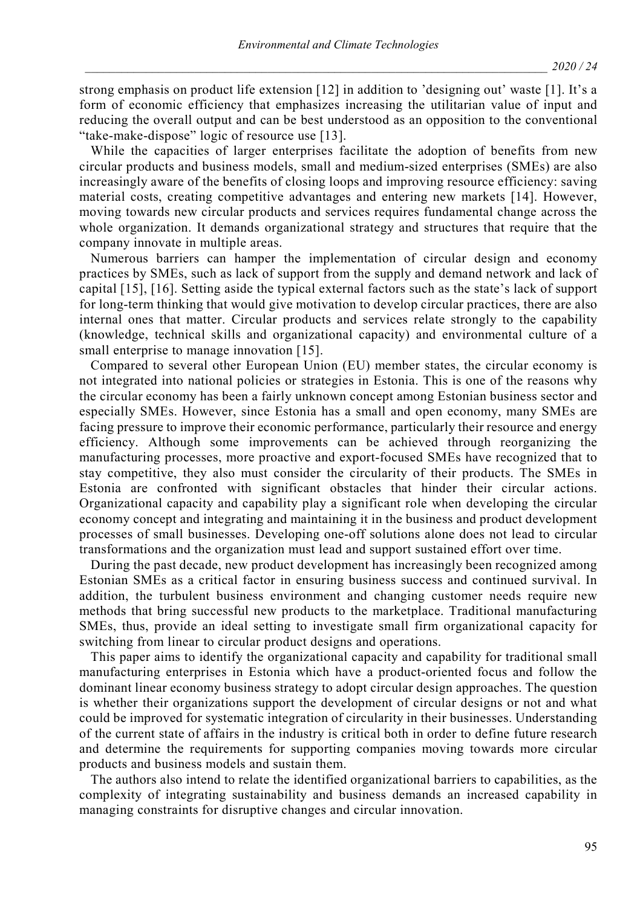strong emphasis on product life extension [12] in addition to 'designing out' waste [1]. It's a form of economic efficiency that emphasizes increasing the utilitarian value of input and reducing the overall output and can be best understood as an opposition to the conventional "take-make-dispose" logic of resource use [13].

While the capacities of larger enterprises facilitate the adoption of benefits from new circular products and business models, small and medium-sized enterprises (SMEs) are also increasingly aware of the benefits of closing loops and improving resource efficiency: saving material costs, creating competitive advantages and entering new markets [14]. However, moving towards new circular products and services requires fundamental change across the whole organization. It demands organizational strategy and structures that require that the company innovate in multiple areas.

Numerous barriers can hamper the implementation of circular design and economy practices by SMEs, such as lack of support from the supply and demand network and lack of capital [15], [16]. Setting aside the typical external factors such as the state's lack of support for long-term thinking that would give motivation to develop circular practices, there are also internal ones that matter. Circular products and services relate strongly to the capability (knowledge, technical skills and organizational capacity) and environmental culture of a small enterprise to manage innovation [15].

Compared to several other European Union (EU) member states, the circular economy is not integrated into national policies or strategies in Estonia. This is one of the reasons why the circular economy has been a fairly unknown concept among Estonian business sector and especially SMEs. However, since Estonia has a small and open economy, many SMEs are facing pressure to improve their economic performance, particularly their resource and energy efficiency. Although some improvements can be achieved through reorganizing the manufacturing processes, more proactive and export-focused SMEs have recognized that to stay competitive, they also must consider the circularity of their products. The SMEs in Estonia are confronted with significant obstacles that hinder their circular actions. Organizational capacity and capability play a significant role when developing the circular economy concept and integrating and maintaining it in the business and product development processes of small businesses. Developing one-off solutions alone does not lead to circular transformations and the organization must lead and support sustained effort over time.

During the past decade, new product development has increasingly been recognized among Estonian SMEs as a critical factor in ensuring business success and continued survival. In addition, the turbulent business environment and changing customer needs require new methods that bring successful new products to the marketplace. Traditional manufacturing SMEs, thus, provide an ideal setting to investigate small firm organizational capacity for switching from linear to circular product designs and operations.

This paper aims to identify the organizational capacity and capability for traditional small manufacturing enterprises in Estonia which have a product-oriented focus and follow the dominant linear economy business strategy to adopt circular design approaches. The question is whether their organizations support the development of circular designs or not and what could be improved for systematic integration of circularity in their businesses. Understanding of the current state of affairs in the industry is critical both in order to define future research and determine the requirements for supporting companies moving towards more circular products and business models and sustain them.

The authors also intend to relate the identified organizational barriers to capabilities, as the complexity of integrating sustainability and business demands an increased capability in managing constraints for disruptive changes and circular innovation.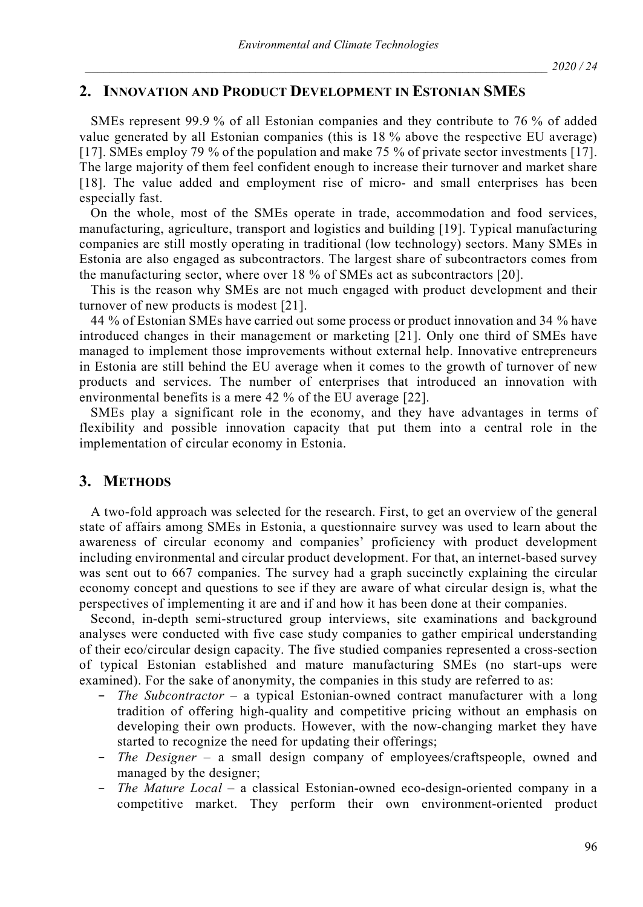# **2. INNOVATION AND PRODUCT DEVELOPMENT IN ESTONIAN SMES**

SMEs represent 99.9 % of all Estonian companies and they contribute to 76 % of added value generated by all Estonian companies (this is 18 % above the respective EU average) [17]. SMEs employ 79 % of the population and make 75 % of private sector investments [17]. The large majority of them feel confident enough to increase their turnover and market share [18]. The value added and employment rise of micro- and small enterprises has been especially fast.

On the whole, most of the SMEs operate in trade, accommodation and food services, manufacturing, agriculture, transport and logistics and building [19]. Typical manufacturing companies are still mostly operating in traditional (low technology) sectors. Many SMEs in Estonia are also engaged as subcontractors. The largest share of subcontractors comes from the manufacturing sector, where over 18 % of SMEs act as subcontractors [20].

This is the reason why SMEs are not much engaged with product development and their turnover of new products is modest [21].

44 % of Estonian SMEs have carried out some process or product innovation and 34 % have introduced changes in their management or marketing [21]. Only one third of SMEs have managed to implement those improvements without external help. Innovative entrepreneurs in Estonia are still behind the EU average when it comes to the growth of turnover of new products and services. The number of enterprises that introduced an innovation with environmental benefits is a mere 42 % of the EU average [22].

SMEs play a significant role in the economy, and they have advantages in terms of flexibility and possible innovation capacity that put them into a central role in the implementation of circular economy in Estonia.

## **3. METHODS**

A two-fold approach was selected for the research. First, to get an overview of the general state of affairs among SMEs in Estonia, a questionnaire survey was used to learn about the awareness of circular economy and companies' proficiency with product development including environmental and circular product development. For that, an internet-based survey was sent out to 667 companies. The survey had a graph succinctly explaining the circular economy concept and questions to see if they are aware of what circular design is, what the perspectives of implementing it are and if and how it has been done at their companies.

Second, in-depth semi-structured group interviews, site examinations and background analyses were conducted with five case study companies to gather empirical understanding of their eco/circular design capacity. The five studied companies represented a cross-section of typical Estonian established and mature manufacturing SMEs (no start-ups were examined). For the sake of anonymity, the companies in this study are referred to as:

- − *The Subcontractor* a typical Estonian-owned contract manufacturer with a long tradition of offering high-quality and competitive pricing without an emphasis on developing their own products. However, with the now-changing market they have started to recognize the need for updating their offerings;
- − *The Designer* a small design company of employees/craftspeople, owned and managed by the designer;
- − *The Mature Local* a classical Estonian-owned eco-design-oriented company in a competitive market. They perform their own environment-oriented product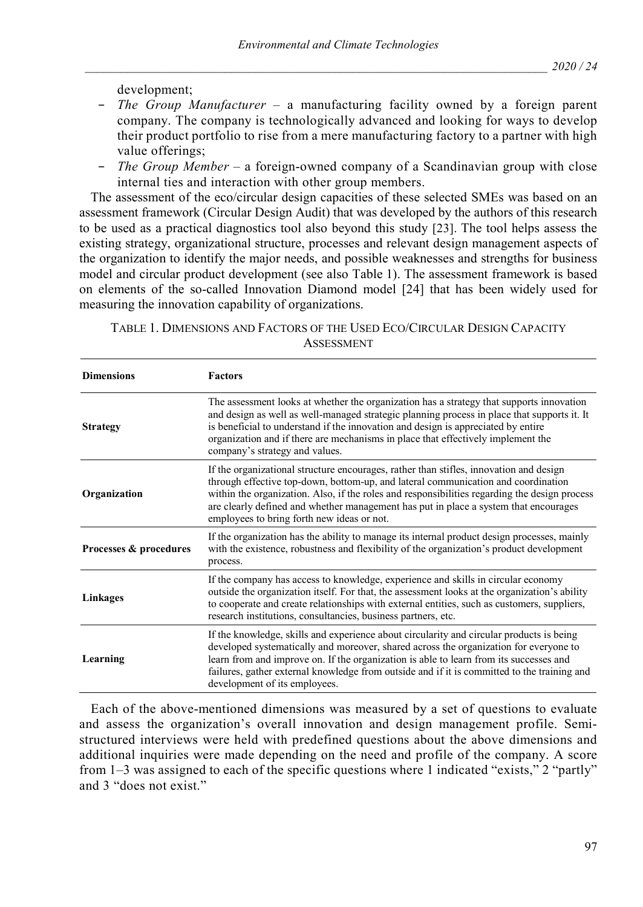development;

- − *The Group Manufacturer* a manufacturing facility owned by a foreign parent company. The company is technologically advanced and looking for ways to develop their product portfolio to rise from a mere manufacturing factory to a partner with high value offerings;
- − *The Group Member* a foreign-owned company of a Scandinavian group with close internal ties and interaction with other group members.

The assessment of the eco/circular design capacities of these selected SMEs was based on an assessment framework (Circular Design Audit) that was developed by the authors of this research to be used as a practical diagnostics tool also beyond this study [23]. The tool helps assess the existing strategy, organizational structure, processes and relevant design management aspects of the organization to identify the major needs, and possible weaknesses and strengths for business model and circular product development (see also Table 1). The assessment framework is based on elements of the so-called Innovation Diamond model [24] that has been widely used for measuring the innovation capability of organizations.

| Table 1. Dimensions and Factors of the Used Eco/Circular Design Capacity |
|--------------------------------------------------------------------------|
| <b>ASSESSMENT</b>                                                        |

| <b>Dimensions</b>      | <b>Factors</b>                                                                                                                                                                                                                                                                                                                                                                                                     |
|------------------------|--------------------------------------------------------------------------------------------------------------------------------------------------------------------------------------------------------------------------------------------------------------------------------------------------------------------------------------------------------------------------------------------------------------------|
| <b>Strategy</b>        | The assessment looks at whether the organization has a strategy that supports innovation<br>and design as well as well-managed strategic planning process in place that supports it. It<br>is beneficial to understand if the innovation and design is appreciated by entire<br>organization and if there are mechanisms in place that effectively implement the<br>company's strategy and values.                 |
| Organization           | If the organizational structure encourages, rather than stifles, innovation and design<br>through effective top-down, bottom-up, and lateral communication and coordination<br>within the organization. Also, if the roles and responsibilities regarding the design process<br>are clearly defined and whether management has put in place a system that encourages<br>employees to bring forth new ideas or not. |
| Processes & procedures | If the organization has the ability to manage its internal product design processes, mainly<br>with the existence, robustness and flexibility of the organization's product development<br>process.                                                                                                                                                                                                                |
| Linkages               | If the company has access to knowledge, experience and skills in circular economy<br>outside the organization itself. For that, the assessment looks at the organization's ability<br>to cooperate and create relationships with external entities, such as customers, suppliers,<br>research institutions, consultancies, business partners, etc.                                                                 |
| Learning               | If the knowledge, skills and experience about circularity and circular products is being<br>developed systematically and moreover, shared across the organization for everyone to<br>learn from and improve on. If the organization is able to learn from its successes and<br>failures, gather external knowledge from outside and if it is committed to the training and<br>development of its employees.        |

Each of the above-mentioned dimensions was measured by a set of questions to evaluate and assess the organization's overall innovation and design management profile. Semistructured interviews were held with predefined questions about the above dimensions and additional inquiries were made depending on the need and profile of the company. A score from 1–3 was assigned to each of the specific questions where 1 indicated "exists," 2 "partly" and 3 "does not exist."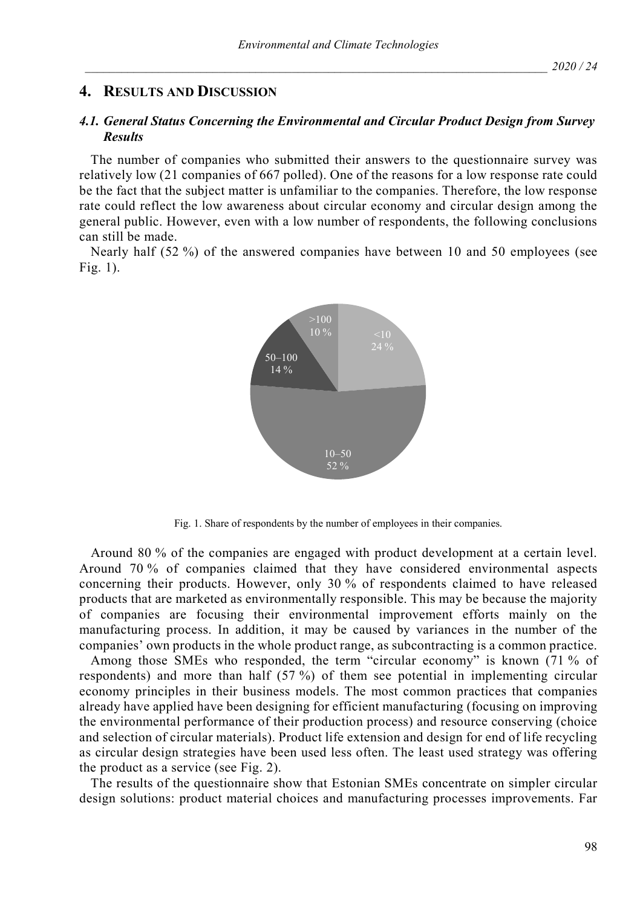## **4. RESULTS AND DISCUSSION**

### *4.1. General Status Concerning the Environmental and Circular Product Design from Survey Results*

The number of companies who submitted their answers to the questionnaire survey was relatively low (21 companies of 667 polled). One of the reasons for a low response rate could be the fact that the subject matter is unfamiliar to the companies. Therefore, the low response rate could reflect the low awareness about circular economy and circular design among the general public. However, even with a low number of respondents, the following conclusions can still be made.

Nearly half (52 %) of the answered companies have between 10 and 50 employees (see Fig. 1).



Fig. 1. Share of respondents by the number of employees in their companies.

Around 80 % of the companies are engaged with product development at a certain level. Around 70 % of companies claimed that they have considered environmental aspects concerning their products. However, only 30 % of respondents claimed to have released products that are marketed as environmentally responsible. This may be because the majority of companies are focusing their environmental improvement efforts mainly on the manufacturing process. In addition, it may be caused by variances in the number of the companies' own products in the whole product range, as subcontracting is a common practice.

Among those SMEs who responded, the term "circular economy" is known (71 % of respondents) and more than half (57 %) of them see potential in implementing circular economy principles in their business models. The most common practices that companies already have applied have been designing for efficient manufacturing (focusing on improving the environmental performance of their production process) and resource conserving (choice and selection of circular materials). Product life extension and design for end of life recycling as circular design strategies have been used less often. The least used strategy was offering the product as a service (see Fig. 2).

The results of the questionnaire show that Estonian SMEs concentrate on simpler circular design solutions: product material choices and manufacturing processes improvements. Far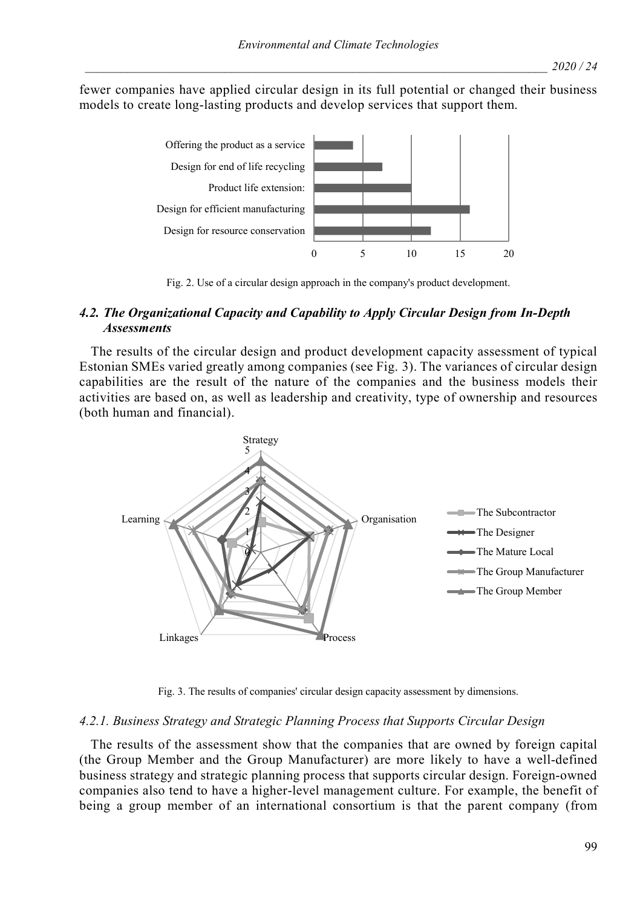fewer companies have applied circular design in its full potential or changed their business models to create long-lasting products and develop services that support them.



Fig. 2. Use of a circular design approach in the company's product development.

## *4.2. The Organizational Capacity and Capability to Apply Circular Design from In-Depth Assessments*

The results of the circular design and product development capacity assessment of typical Estonian SMEs varied greatly among companies (see Fig. 3). The variances of circular design capabilities are the result of the nature of the companies and the business models their activities are based on, as well as leadership and creativity, type of ownership and resources (both human and financial).



Fig. 3. The results of companies' circular design capacity assessment by dimensions.

#### *4.2.1. Business Strategy and Strategic Planning Process that Supports Circular Design*

The results of the assessment show that the companies that are owned by foreign capital (the Group Member and the Group Manufacturer) are more likely to have a well-defined business strategy and strategic planning process that supports circular design. Foreign-owned companies also tend to have a higher-level management culture. For example, the benefit of being a group member of an international consortium is that the parent company (from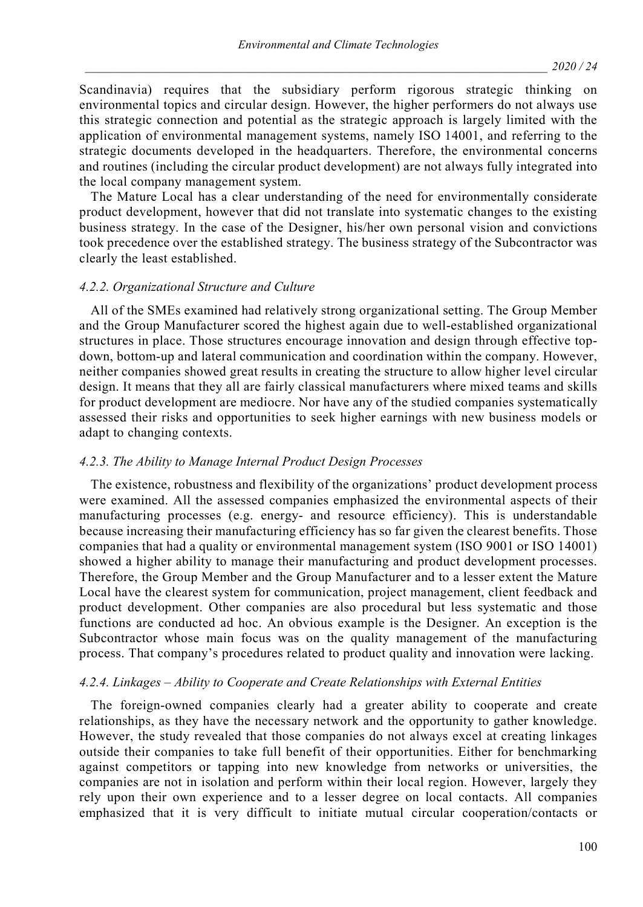Scandinavia) requires that the subsidiary perform rigorous strategic thinking on environmental topics and circular design. However, the higher performers do not always use this strategic connection and potential as the strategic approach is largely limited with the application of environmental management systems, namely ISO 14001, and referring to the strategic documents developed in the headquarters. Therefore, the environmental concerns and routines (including the circular product development) are not always fully integrated into the local company management system.

The Mature Local has a clear understanding of the need for environmentally considerate product development, however that did not translate into systematic changes to the existing business strategy. In the case of the Designer, his/her own personal vision and convictions took precedence over the established strategy. The business strategy of the Subcontractor was clearly the least established.

#### *4.2.2. Organizational Structure and Culture*

All of the SMEs examined had relatively strong organizational setting. The Group Member and the Group Manufacturer scored the highest again due to well-established organizational structures in place. Those structures encourage innovation and design through effective topdown, bottom-up and lateral communication and coordination within the company. However, neither companies showed great results in creating the structure to allow higher level circular design. It means that they all are fairly classical manufacturers where mixed teams and skills for product development are mediocre. Nor have any of the studied companies systematically assessed their risks and opportunities to seek higher earnings with new business models or adapt to changing contexts.

#### *4.2.3. The Ability to Manage Internal Product Design Processes*

The existence, robustness and flexibility of the organizations' product development process were examined. All the assessed companies emphasized the environmental aspects of their manufacturing processes (e.g. energy- and resource efficiency). This is understandable because increasing their manufacturing efficiency has so far given the clearest benefits. Those companies that had a quality or environmental management system (ISO 9001 or ISO 14001) showed a higher ability to manage their manufacturing and product development processes. Therefore, the Group Member and the Group Manufacturer and to a lesser extent the Mature Local have the clearest system for communication, project management, client feedback and product development. Other companies are also procedural but less systematic and those functions are conducted ad hoc. An obvious example is the Designer. An exception is the Subcontractor whose main focus was on the quality management of the manufacturing process. That company's procedures related to product quality and innovation were lacking.

#### *4.2.4. Linkages – Ability to Cooperate and Create Relationships with External Entities*

The foreign-owned companies clearly had a greater ability to cooperate and create relationships, as they have the necessary network and the opportunity to gather knowledge. However, the study revealed that those companies do not always excel at creating linkages outside their companies to take full benefit of their opportunities. Either for benchmarking against competitors or tapping into new knowledge from networks or universities, the companies are not in isolation and perform within their local region. However, largely they rely upon their own experience and to a lesser degree on local contacts. All companies emphasized that it is very difficult to initiate mutual circular cooperation/contacts or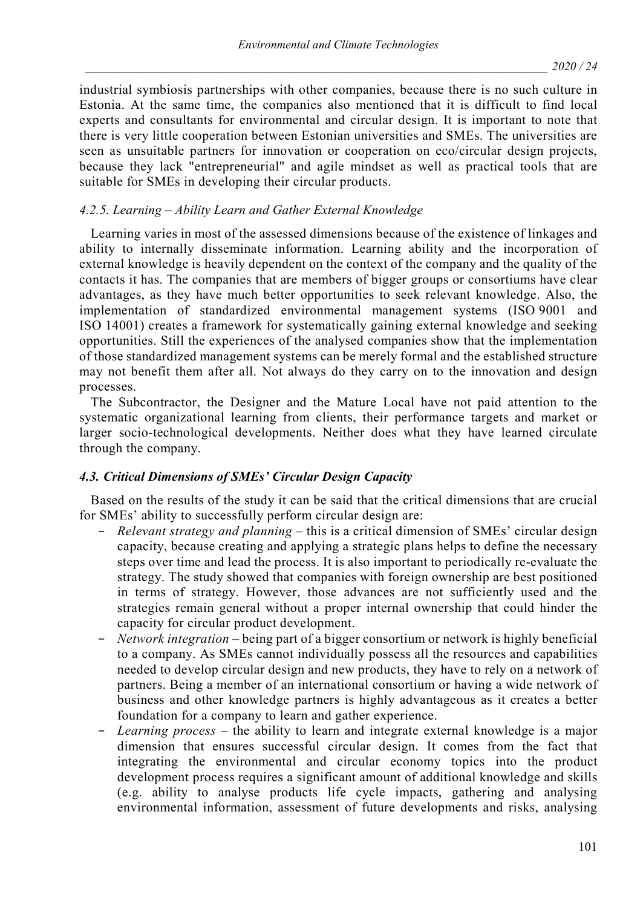industrial symbiosis partnerships with other companies, because there is no such culture in Estonia. At the same time, the companies also mentioned that it is difficult to find local experts and consultants for environmental and circular design. It is important to note that there is very little cooperation between Estonian universities and SMEs. The universities are seen as unsuitable partners for innovation or cooperation on eco/circular design projects, because they lack "entrepreneurial" and agile mindset as well as practical tools that are suitable for SMEs in developing their circular products.

## *4.2.5. Learning – Ability Learn and Gather External Knowledge*

Learning varies in most of the assessed dimensions because of the existence of linkages and ability to internally disseminate information. Learning ability and the incorporation of external knowledge is heavily dependent on the context of the company and the quality of the contacts it has. The companies that are members of bigger groups or consortiums have clear advantages, as they have much better opportunities to seek relevant knowledge. Also, the implementation of standardized environmental management systems (ISO 9001 and ISO 14001) creates a framework for systematically gaining external knowledge and seeking opportunities. Still the experiences of the analysed companies show that the implementation of those standardized management systems can be merely formal and the established structure may not benefit them after all. Not always do they carry on to the innovation and design processes.

The Subcontractor, the Designer and the Mature Local have not paid attention to the systematic organizational learning from clients, their performance targets and market or larger socio-technological developments. Neither does what they have learned circulate through the company.

### *4.3. Critical Dimensions of SMEs' Circular Design Capacity*

Based on the results of the study it can be said that the critical dimensions that are crucial for SMEs' ability to successfully perform circular design are:

- *Relevant strategy and planning* this is a critical dimension of SMEs' circular design capacity, because creating and applying a strategic plans helps to define the necessary steps over time and lead the process. It is also important to periodically re-evaluate the strategy. The study showed that companies with foreign ownership are best positioned in terms of strategy. However, those advances are not sufficiently used and the strategies remain general without a proper internal ownership that could hinder the capacity for circular product development.
- − *Network integration* being part of a bigger consortium or network is highly beneficial to a company. As SMEs cannot individually possess all the resources and capabilities needed to develop circular design and new products, they have to rely on a network of partners. Being a member of an international consortium or having a wide network of business and other knowledge partners is highly advantageous as it creates a better foundation for a company to learn and gather experience.
- − *Learning process* the ability to learn and integrate external knowledge is a major dimension that ensures successful circular design. It comes from the fact that integrating the environmental and circular economy topics into the product development process requires a significant amount of additional knowledge and skills (e.g. ability to analyse products life cycle impacts, gathering and analysing environmental information, assessment of future developments and risks, analysing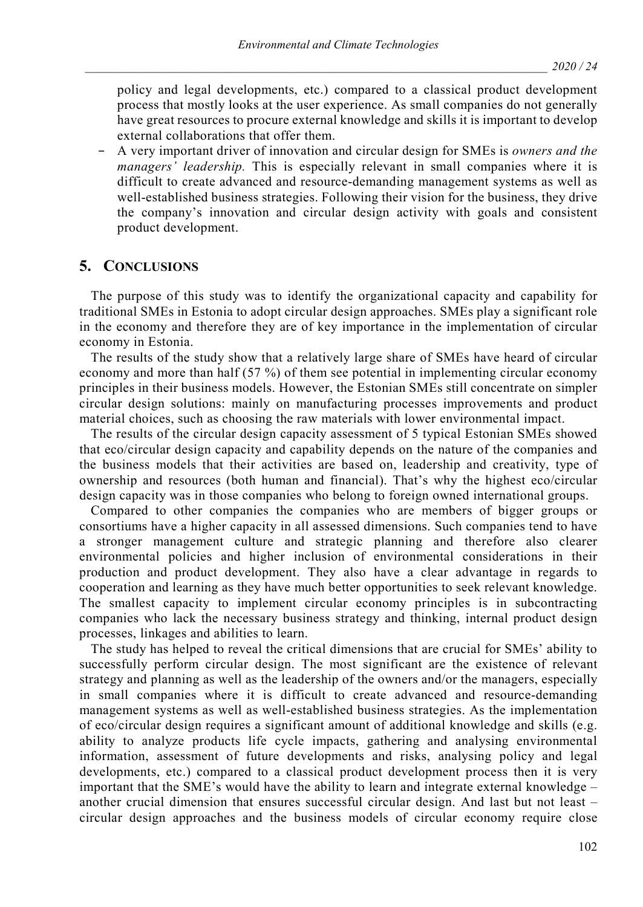policy and legal developments, etc.) compared to a classical product development process that mostly looks at the user experience. As small companies do not generally have great resources to procure external knowledge and skills it is important to develop external collaborations that offer them.

− A very important driver of innovation and circular design for SMEs is *owners and the managers' leadership.* This is especially relevant in small companies where it is difficult to create advanced and resource-demanding management systems as well as well-established business strategies. Following their vision for the business, they drive the company's innovation and circular design activity with goals and consistent product development.

## **5. CONCLUSIONS**

The purpose of this study was to identify the organizational capacity and capability for traditional SMEs in Estonia to adopt circular design approaches. SMEs play a significant role in the economy and therefore they are of key importance in the implementation of circular economy in Estonia.

The results of the study show that a relatively large share of SMEs have heard of circular economy and more than half (57 %) of them see potential in implementing circular economy principles in their business models. However, the Estonian SMEs still concentrate on simpler circular design solutions: mainly on manufacturing processes improvements and product material choices, such as choosing the raw materials with lower environmental impact.

The results of the circular design capacity assessment of 5 typical Estonian SMEs showed that eco/circular design capacity and capability depends on the nature of the companies and the business models that their activities are based on, leadership and creativity, type of ownership and resources (both human and financial). That's why the highest eco/circular design capacity was in those companies who belong to foreign owned international groups.

Compared to other companies the companies who are members of bigger groups or consortiums have a higher capacity in all assessed dimensions. Such companies tend to have a stronger management culture and strategic planning and therefore also clearer environmental policies and higher inclusion of environmental considerations in their production and product development. They also have a clear advantage in regards to cooperation and learning as they have much better opportunities to seek relevant knowledge. The smallest capacity to implement circular economy principles is in subcontracting companies who lack the necessary business strategy and thinking, internal product design processes, linkages and abilities to learn.

The study has helped to reveal the critical dimensions that are crucial for SMEs' ability to successfully perform circular design. The most significant are the existence of relevant strategy and planning as well as the leadership of the owners and/or the managers, especially in small companies where it is difficult to create advanced and resource-demanding management systems as well as well-established business strategies. As the implementation of eco/circular design requires a significant amount of additional knowledge and skills (e.g. ability to analyze products life cycle impacts, gathering and analysing environmental information, assessment of future developments and risks, analysing policy and legal developments, etc.) compared to a classical product development process then it is very important that the SME's would have the ability to learn and integrate external knowledge – another crucial dimension that ensures successful circular design. And last but not least – circular design approaches and the business models of circular economy require close